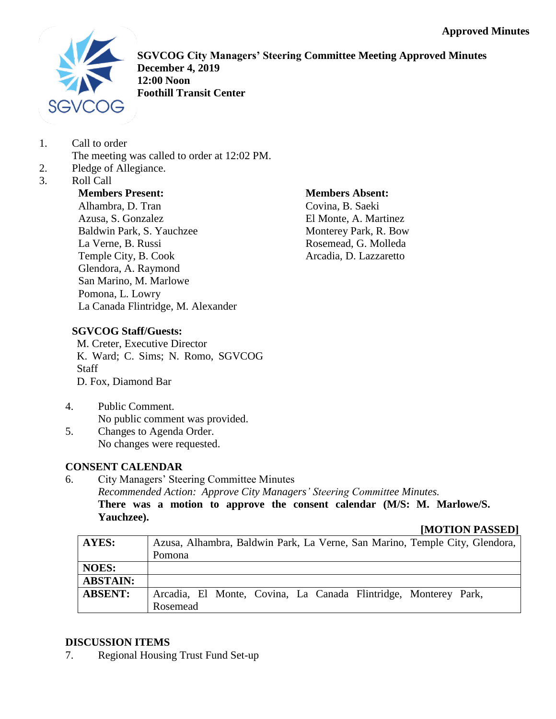

**SGVCOG City Managers' Steering Committee Meeting Approved Minutes December 4, 2019 12:00 Noon Foothill Transit Center**

1. Call to order

The meeting was called to order at 12:02 PM.

- 2. Pledge of Allegiance.
- 3. Roll Call

# **Members Present:**

Alhambra, D. Tran Azusa, S. Gonzalez Baldwin Park, S. Yauchzee La Verne, B. Russi Temple City, B. Cook Glendora, A. Raymond San Marino, M. Marlowe Pomona, L. Lowry La Canada Flintridge, M. Alexander

#### **Members Absent:** Covina, B. Saeki El Monte, A. Martinez Monterey Park, R. Bow Rosemead, G. Molleda Arcadia, D. Lazzaretto

# **SGVCOG Staff/Guests:**

M. Creter, Executive Director K. Ward; C. Sims; N. Romo, SGVCOG **Staff** D. Fox, Diamond Bar

- 4. Public Comment. No public comment was provided. 5. Changes to Agenda Order.
- No changes were requested.

# **CONSENT CALENDAR**

6. City Managers' Steering Committee Minutes *Recommended Action: Approve City Managers' Steering Committee Minutes.* **There was a motion to approve the consent calendar (M/S: M. Marlowe/S. Yauchzee).**

### **[MOTION PASSED]**

| AYES:           | Azusa, Alhambra, Baldwin Park, La Verne, San Marino, Temple City, Glendora, |
|-----------------|-----------------------------------------------------------------------------|
|                 | Pomona                                                                      |
| <b>NOES:</b>    |                                                                             |
| <b>ABSTAIN:</b> |                                                                             |
| <b>ABSENT:</b>  | Arcadia, El Monte, Covina, La Canada Flintridge, Monterey Park,             |
|                 | Rosemead                                                                    |

# **DISCUSSION ITEMS**

7. Regional Housing Trust Fund Set-up